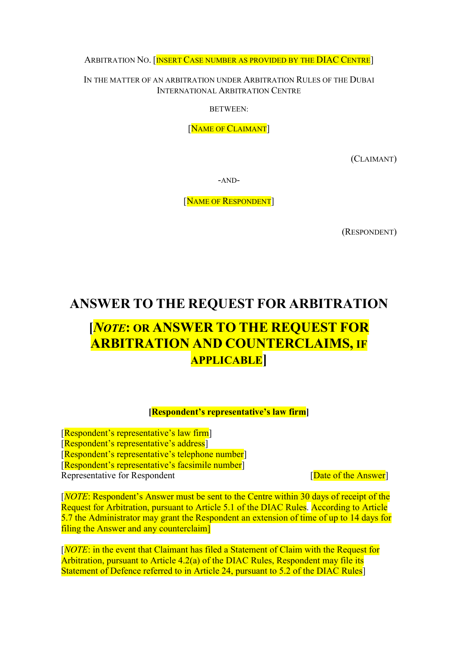ARBITRATION NO. [INSERT CASE NUMBER AS PROVIDED BY THE DIAC CENTRE]

IN THE MATTER OF AN ARBITRATION UNDER ARBITRATION RULES OF THE DUBAI INTERNATIONAL ARBITRATION CENTRE

BETWEEN:

[NAME OF CLAIMANT]

(CLAIMANT)

-AND-

[NAME OF RESPONDENT]

(RESPONDENT)

## ANSWER TO THE REQUEST FOR ARBITRATION

# [NOTE: OR ANSWER TO THE REQUEST FOR ARBITRATION AND COUNTERCLAIMS, IF **APPLICABLE**

#### [Respondent's representative's law firm]

[Respondent's representative's law firm] [Respondent's representative's address] [Respondent's representative's telephone number] [Respondent's representative's facsimile number] Representative for Respondent [Date of the Answer]

[NOTE: Respondent's Answer must be sent to the Centre within 30 days of receipt of the Request for Arbitration, pursuant to Article 5.1 of the DIAC Rules. According to Article 5.7 the Administrator may grant the Respondent an extension of time of up to 14 days for filing the Answer and any counterclaim]

[NOTE: in the event that Claimant has filed a Statement of Claim with the Request for Arbitration, pursuant to Article 4.2(a) of the DIAC Rules, Respondent may file its Statement of Defence referred to in Article 24, pursuant to 5.2 of the DIAC Rules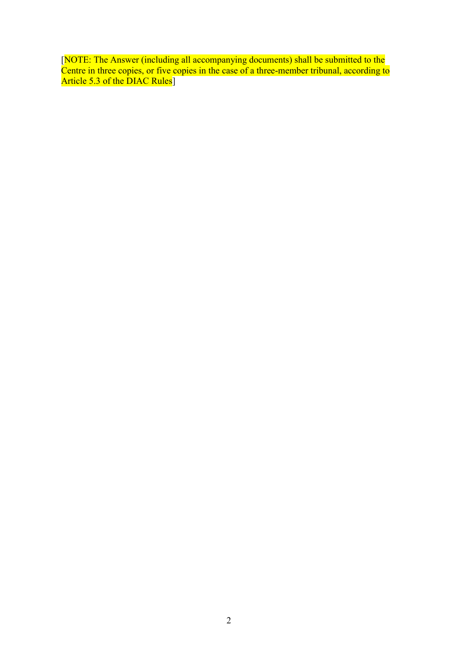[NOTE: The Answer (including all accompanying documents) shall be submitted to the Centre in three copies, or five copies in the case of a three-member tribunal, according to Article 5.3 of the DIAC Rules<sup>1</sup>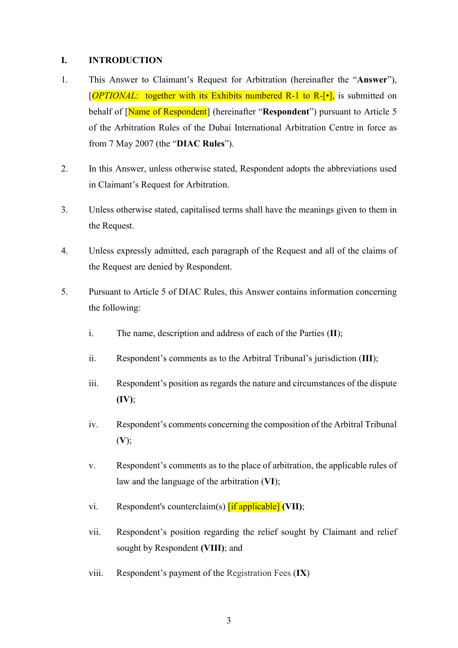#### I. INTRODUCTION

- 1. This Answer to Claimant's Request for Arbitration (hereinafter the "Answer"),  $[OPTIONAL:$  together with its Exhibits numbered R-1 to R- $[\bullet]$ , is submitted on behalf of [Name of Respondent] (hereinafter "Respondent") pursuant to Article 5 of the Arbitration Rules of the Dubai International Arbitration Centre in force as from 7 May 2007 (the "DIAC Rules").
- 2. In this Answer, unless otherwise stated, Respondent adopts the abbreviations used in Claimant's Request for Arbitration.
- 3. Unless otherwise stated, capitalised terms shall have the meanings given to them in the Request.
- 4. Unless expressly admitted, each paragraph of the Request and all of the claims of the Request are denied by Respondent.
- 5. Pursuant to Article 5 of DIAC Rules, this Answer contains information concerning the following:
	- i. The name, description and address of each of the Parties (II);
	- ii. Respondent's comments as to the Arbitral Tribunal's jurisdiction (III);
	- iii. Respondent's position as regards the nature and circumstances of the dispute  $(IV);$
	- iv. Respondent's comments concerning the composition of the Arbitral Tribunal  $(V);$
	- v. Respondent's comments as to the place of arbitration, the applicable rules of law and the language of the arbitration (VI);
	- vi. Respondent's counterclaim(s)  $\left[ \text{if applicable} \right]$  (VII);
	- vii. Respondent's position regarding the relief sought by Claimant and relief sought by Respondent (VIII); and
	- viii. Respondent's payment of the Registration Fees (IX)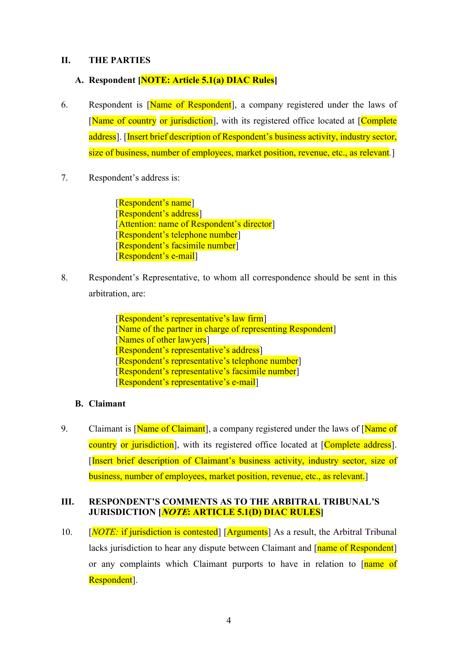#### II. THE PARTIES

### A. Respondent [NOTE: Article 5.1(a) DIAC Rules]

- 6. Respondent is [Name of Respondent], a company registered under the laws of [Name of country or jurisdiction], with its registered office located at [Complete] address]. [Insert brief description of Respondent's business activity, industry sector, size of business, number of employees, market position, revenue, etc., as relevant.
- 7. Respondent's address is:

[Respondent's name] [Respondent's address] [Attention: name of Respondent's director] [Respondent's telephone number] [Respondent's facsimile number] [Respondent's e-mail]

8. Respondent's Representative, to whom all correspondence should be sent in this arbitration, are:

> [Respondent's representative's law firm] [Name of the partner in charge of representing Respondent] [Names of other lawyers] [Respondent's representative's address] [Respondent's representative's telephone number] [Respondent's representative's facsimile number] [Respondent's representative's e-mail]

#### B. Claimant

9. Claimant is [Name of Claimant], a company registered under the laws of [Name of country or jurisdiction], with its registered office located at [Complete address]. [Insert brief description of Claimant's business activity, industry sector, size of business, number of employees, market position, revenue, etc., as relevant.]

#### III. RESPONDENT'S COMMENTS AS TO THE ARBITRAL TRIBUNAL'S JURISDICTION [*NOTE*: ARTICLE 5.1(D) DIAC RULES]

10.  $[NOTE:$  if jurisdiction is contested [Arguments] As a result, the Arbitral Tribunal lacks jurisdiction to hear any dispute between Claimant and [name of Respondent] or any complaints which Claimant purports to have in relation to [name of Respondent].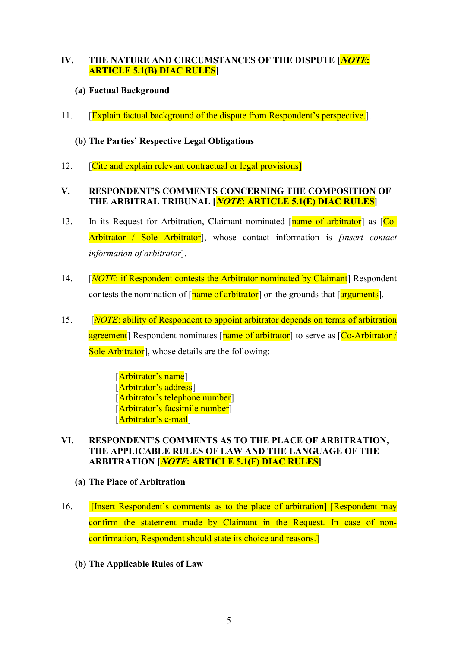## IV. THE NATURE AND CIRCUMSTANCES OF THE DISPUTE [*NOTE*: ARTICLE 5.1(B) DIAC RULES]

## (a) Factual Background

11. **[Explain factual background of the dispute from Respondent's perspective.**].

## (b) The Parties' Respective Legal Obligations

12. **Cite and explain relevant contractual or legal provisions** 

### V. RESPONDENT'S COMMENTS CONCERNING THE COMPOSITION OF THE ARBITRAL TRIBUNAL *[NOTE*: ARTICLE 5.1(E) DIAC RULES]

- 13. In its Request for Arbitration, Claimant nominated [name of arbitrator] as [Co-Arbitrator / Sole Arbitrator], whose contact information is *[insert contact* information of arbitrator].
- 14. [*NOTE*: if Respondent contests the Arbitrator nominated by Claimant] Respondent contests the nomination of  $\lceil$ name of arbitrator on the grounds that  $\lceil$ arguments.
- 15. [NOTE: ability of Respondent to appoint arbitrator depends on terms of arbitration agreement] Respondent nominates [name of arbitrator] to serve as [Co-Arbitrator / Sole Arbitrator<sup>-</sup>, whose details are the following:

[Arbitrator's name] [Arbitrator's address] [Arbitrator's telephone number] [Arbitrator's facsimile number] [Arbitrator's e-mail]

#### VI. RESPONDENT'S COMMENTS AS TO THE PLACE OF ARBITRATION, THE APPLICABLE RULES OF LAW AND THE LANGUAGE OF THE ARBITRATION [*NOTE*: ARTICLE 5.1(F) DIAC RULES]

- (a) The Place of Arbitration
- 16. **I** [Insert Respondent's comments as to the place of arbitration] [Respondent may confirm the statement made by Claimant in the Request. In case of nonconfirmation, Respondent should state its choice and reasons.]
	- (b) The Applicable Rules of Law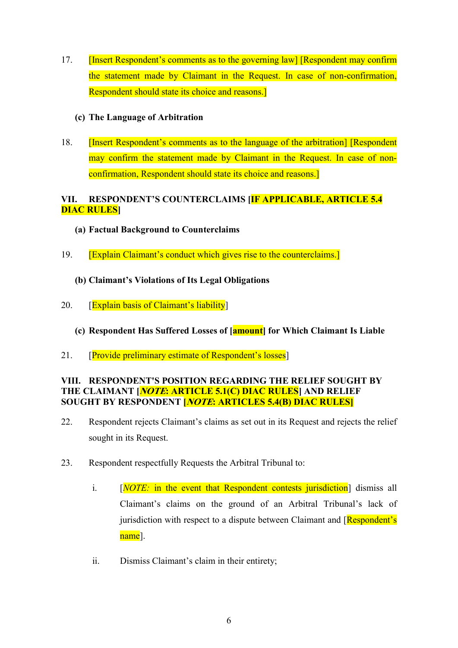17. **[Insert Respondent's comments as to the governing law] [Respondent may confirm** the statement made by Claimant in the Request. In case of non-confirmation, Respondent should state its choice and reasons.]

### (c) The Language of Arbitration

18. [Insert Respondent's comments as to the language of the arbitration] [Respondent may confirm the statement made by Claimant in the Request. In case of nonconfirmation, Respondent should state its choice and reasons.]

## VII. RESPONDENT'S COUNTERCLAIMS [IF APPLICABLE, ARTICLE 5.4 DIAC RULES]

- (a) Factual Background to Counterclaims
- 19. [Explain Claimant's conduct which gives rise to the counterclaims.]
	- (b) Claimant's Violations of Its Legal Obligations
- 20. **[Explain basis of Claimant's liability]** 
	- (c) Respondent Has Suffered Losses of [amount] for Which Claimant Is Liable
- 21. **[Provide preliminary estimate of Respondent's losses**]

#### VIII. RESPONDENT'S POSITION REGARDING THE RELIEF SOUGHT BY THE CLAIMANT [*NOTE*: ARTICLE 5.1(C) DIAC RULES] AND RELIEF SOUGHT BY RESPONDENT **[NOTE: ARTICLES 5.4(B) DIAC RULES**]

- 22. Respondent rejects Claimant's claims as set out in its Request and rejects the relief sought in its Request.
- 23. Respondent respectfully Requests the Arbitral Tribunal to:
	- i. [NOTE: in the event that Respondent contests jurisdiction] dismiss all Claimant's claims on the ground of an Arbitral Tribunal's lack of jurisdiction with respect to a dispute between Claimant and  $[Respondent's]$ name].
	- ii. Dismiss Claimant's claim in their entirety;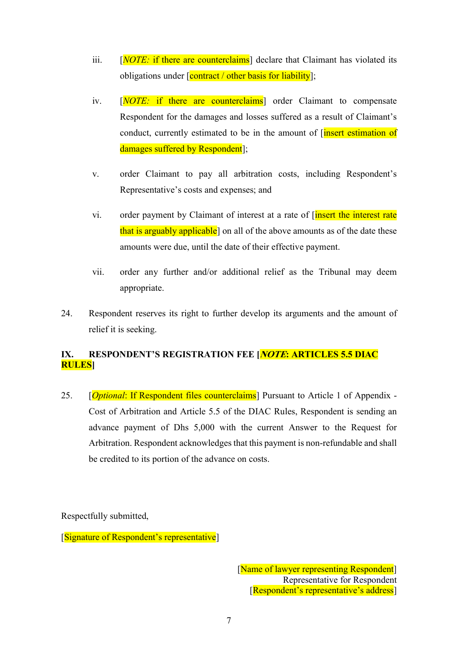- iii.  $[NOTE:$  if there are counterclaims declare that Claimant has violated its obligations under [contract / other basis for liability];
- iv. [NOTE: if there are counterclaims] order Claimant to compensate Respondent for the damages and losses suffered as a result of Claimant's conduct, currently estimated to be in the amount of [insert estimation of damages suffered by Respondent];
- v. order Claimant to pay all arbitration costs, including Respondent's Representative's costs and expenses; and
- vi. order payment by Claimant of interest at a rate of *[insert the interest rate* that is arguably applicable<sup>]</sup> on all of the above amounts as of the date these amounts were due, until the date of their effective payment.
- vii. order any further and/or additional relief as the Tribunal may deem appropriate.
- 24. Respondent reserves its right to further develop its arguments and the amount of relief it is seeking.

## IX. RESPONDENT'S REGISTRATION FEE [NOTE: ARTICLES 5.5 DIAC RULES]

25. [*Optional: If Respondent files counterclaims*] Pursuant to Article 1 of Appendix -Cost of Arbitration and Article 5.5 of the DIAC Rules, Respondent is sending an advance payment of Dhs 5,000 with the current Answer to the Request for Arbitration. Respondent acknowledges that this payment is non-refundable and shall be credited to its portion of the advance on costs.

Respectfully submitted,

[Signature of Respondent's representative]

[Name of lawyer representing Respondent] Representative for Respondent [Respondent's representative's address]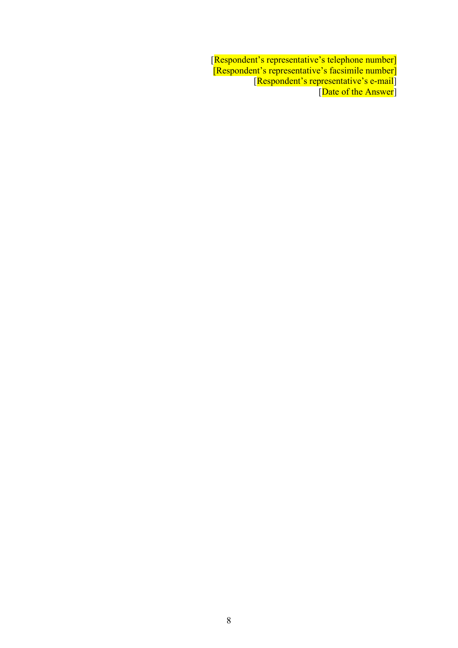[Respondent's representative's telephone number] [Respondent's representative's facsimile number] [Respondent's representative's e-mail] [Date of the Answer]